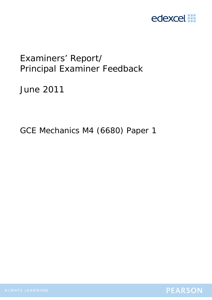

# Examiners' Report/ Principal Examiner Feedback

June 2011

GCE Mechanics M4 (6680) Paper 1

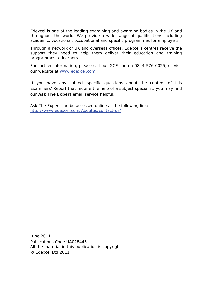Edexcel is one of the leading examining and awarding bodies in the UK and throughout the world. We provide a wide range of qualifications including academic, vocational, occupational and specific programmes for employers.

Through a network of UK and overseas offices, Edexcel's centres receive the support they need to help them deliver their education and training programmes to learners.

For further information, please call our GCE line on 0844 576 0025, or visit our website at www.edexcel.com.

If you have any subject specific questions about the content of this Examiners' Report that require the help of a subject specialist, you may find our **Ask The Expert** email service helpful.

Ask The Expert can be accessed online at the following link: http://www.edexcel.com/Aboutus/contact-us/

June 2011 Publications Code UA028445 All the material in this publication is copyright © Edexcel Ltd 2011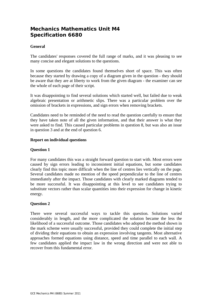# **Mechanics Mathematics Unit M4 Specification 6680**

# **General**

The candidates' responses covered the full range of marks, and it was pleasing to see many concise and elegant solutions to the questions.

In some questions the candidates found themselves short of space. This was often because they started by drawing a copy of a diagram given in the question - they should be aware that they are at liberty to work from the given diagram - the examiner can see the whole of each page of their script.

It was disappointing to find several solutions which started well, but failed due to weak algebraic presentation or arithmetic slips. There was a particular problem over the omission of brackets in expressions, and sign errors when removing brackets.

Candidates need to be reminded of the need to read the question carefully to ensure that they have taken note of all the given information, and that their answer is what they were asked to find. This caused particular problems in question 8, but was also an issue in question 3 and at the end of question 6.

#### **Report on individual questions**

#### **Question 1**

For many candidates this was a straight forward question to start with. Most errors were caused by sign errors leading to inconsistent initial equations, but some candidates clearly find this topic more difficult when the line of centres lies vertically on the page. Several candidates made no mention of the speed perpendicular to the line of centres immediately after the impact. Those candidates with clearly marked diagrams tended to be more successful. It was disappointing at this level to see candidates trying to substitute vectors rather than scalar quantities into their expression for change in kinetic energy.

#### **Question 2**

There were several successful ways to tackle this question. Solutions varied considerably in length, and the more complicated the solution became the less the likelihood of a successful outcome. Those candidates who adopted the method shown in the mark scheme were usually successful, provided they could complete the initial step of dividing their equations to obtain an expression involving tangents. Most alternative approaches formed equations using distance, speed and time parallel to each wall. A few candidates applied the impact law in the wrong direction and were not able to recover from this fundamental error.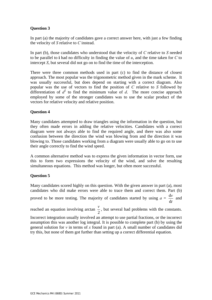# **Question 3**

In part (a) the majority of candidates gave a correct answer here, with just a few finding the velocity of *S* relative to *C* instead.

In part (b), those candidates who understood that the velocity of *C* relative to *S* needed to be parallel to **i** had no difficulty in finding the value of *u*, and the time taken for *C* to intercept *S*, but several did not go on to find the time of the interception.

There were three common methods used in part (c) to find the distance of closest approach. The most popular was the trigonometric method given in the mark scheme. It was usually successful, but does depend on starting with a correct diagram. Also popular was the use of vectors to find the position of *C* relative to *S* followed by differentiation of  $d^2$  to find the minimum value of  $d$ . The more concise approach employed by some of the stronger candidates was to use the scalar product of the vectors for relative velocity and relative position.

# **Question 4**

Many candidates attempted to draw triangles using the information in the question, but they often made errors in adding the relative velocities. Candidates with a correct diagram were not always able to find the required angle, and there was also some confusion between the direction the wind was blowing from and the direction it was blowing to. Those candidates working from a diagram were usually able to go on to use their angle correctly to find the wind speed.

A common alternative method was to express the given information in vector form, use this to form two expressions the velocity of the wind, and solve the resulting simultaneous equations. This method was longer, but often more successful.

# **Question 5**

Many candidates scored highly on this question. With the given answer in part (a), most candidates who did make errors were able to trace them and correct them. Part (b) proved to be more testing. The majority of candidates started by using  $a =$ *t v* d  $\frac{dv}{dx}$  and

reached an equation involving arctan  $\frac{v}{2}$ , but several had problems with the constants.

Incorrect integration usually involved an attempt to use partial fractions, or the incorrect assumption this was another log integral. It is possible to complete part (b) by using the general solution for *v* in terms of *x* found in part (a). A small number of candidates did try this, but none of them got further than setting up a correct differential equation.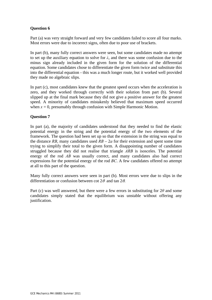# **Question 6**

Part (a) was very straight forward and very few candidates failed to score all four marks. Most errors were due to incorrect signs, often due to poor use of brackets.

In part (b), many fully correct answers were seen, but some candidates made no attempt to set up the auxiliary equation to solve for *λ*, and there was some confusion due to the minus sign already included in the given form for the solution of the differential equation. Some candidates chose to differentiate the given form twice and substitute this into the differential equation - this was a much longer route, but it worked well provided they made no algebraic slips.

In part (c), most candidates knew that the greatest speed occurs when the acceleration is zero, and they worked through correctly with their solution from part (b). Several slipped up at the final mark because they did not give a positive answer for the greatest speed. A minority of candidates mistakenly believed that maximum speed occurred when  $x = 0$ , presumably through confusion with Simple Harmonic Motion.

# **Question 7**

In part (a), the majority of candidates understood that they needed to find the elastic potential energy in the string and the potential energy of the two elements of the framework. The question had been set up so that the extension in the string was equal to the distance *RB*, many candidates used  $RB - 2a$  for their extension and spent some time trying to simplify their total to the given form. A disappointing number of candidates struggled because they did not realise that triangle *ARB* is isosceles. The potential energy of the rod *AB* was usually correct, and many candidates also had correct expressions for the potential energy of the rod *BC*. A few candidates offered no attempt at all to this part of the question.

Many fully correct answers were seen in part (b). Most errors were due to slips in the differentiation or confusion between cot  $2\theta$  and tan  $2\theta$ .

Part (c) was well answered, but there were a few errors in substituting for 2*θ* and some candidates simply stated that the equilibrium was unstable without offering any justification.